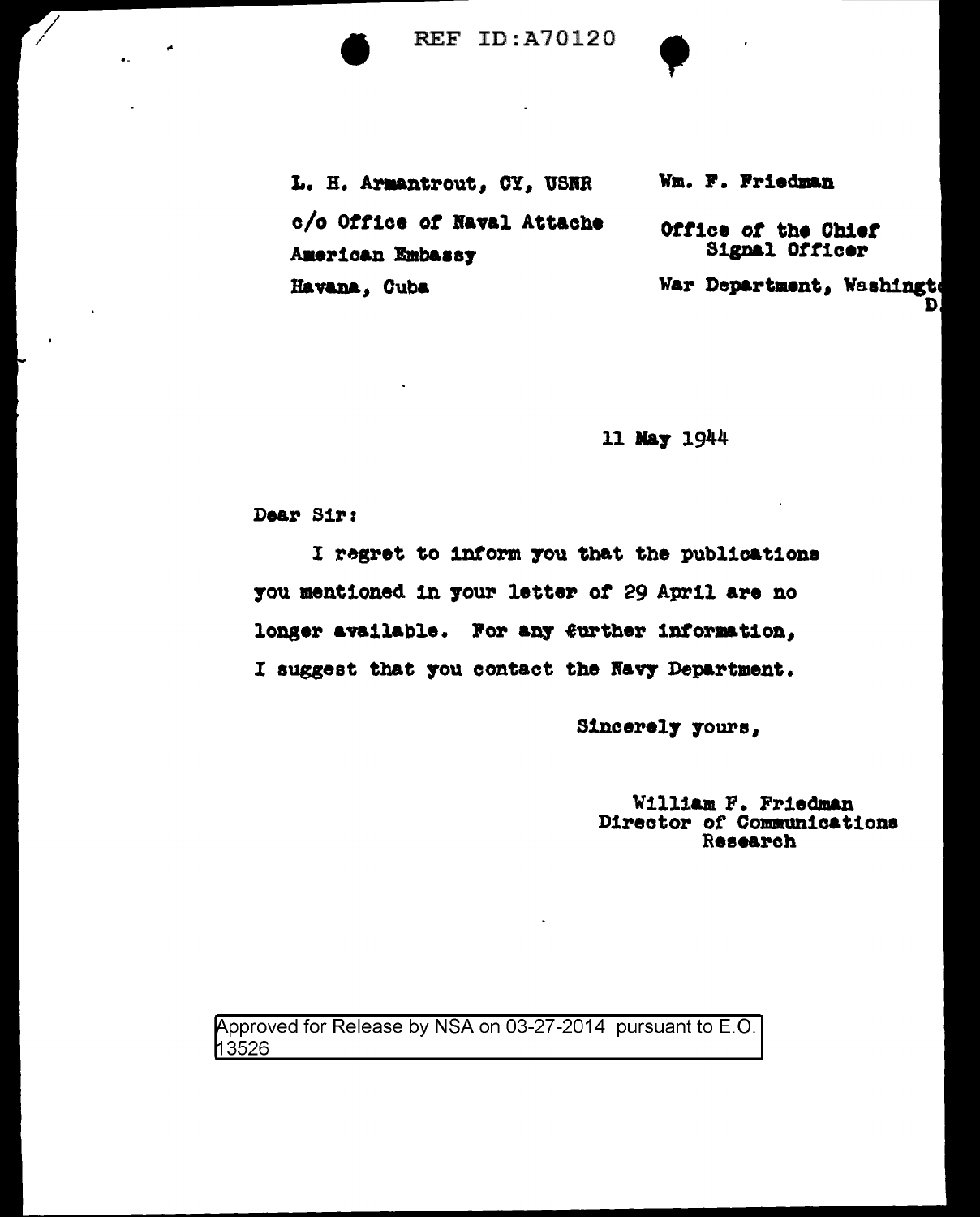**REF ID:A70120** 

L. H. Armantrout, CY, USNR c/o Office of Naval Attache American Embassy Havana, Cuba

Wm. F. Friedman

Office of the Chief Signal Officer

War Department, Washingt D.

11 May 1944

Dear Sir:

I regret to inform you that the publications you mentioned in your letter of 29 April are no longer available. For any further information, I suggest that you contact the Navy Department.

Sincerely yours,

William F. Friedman<br>Director of Communications Research

Approved for Release by NSA on 03-27-2014 pursuant to E.O. 13526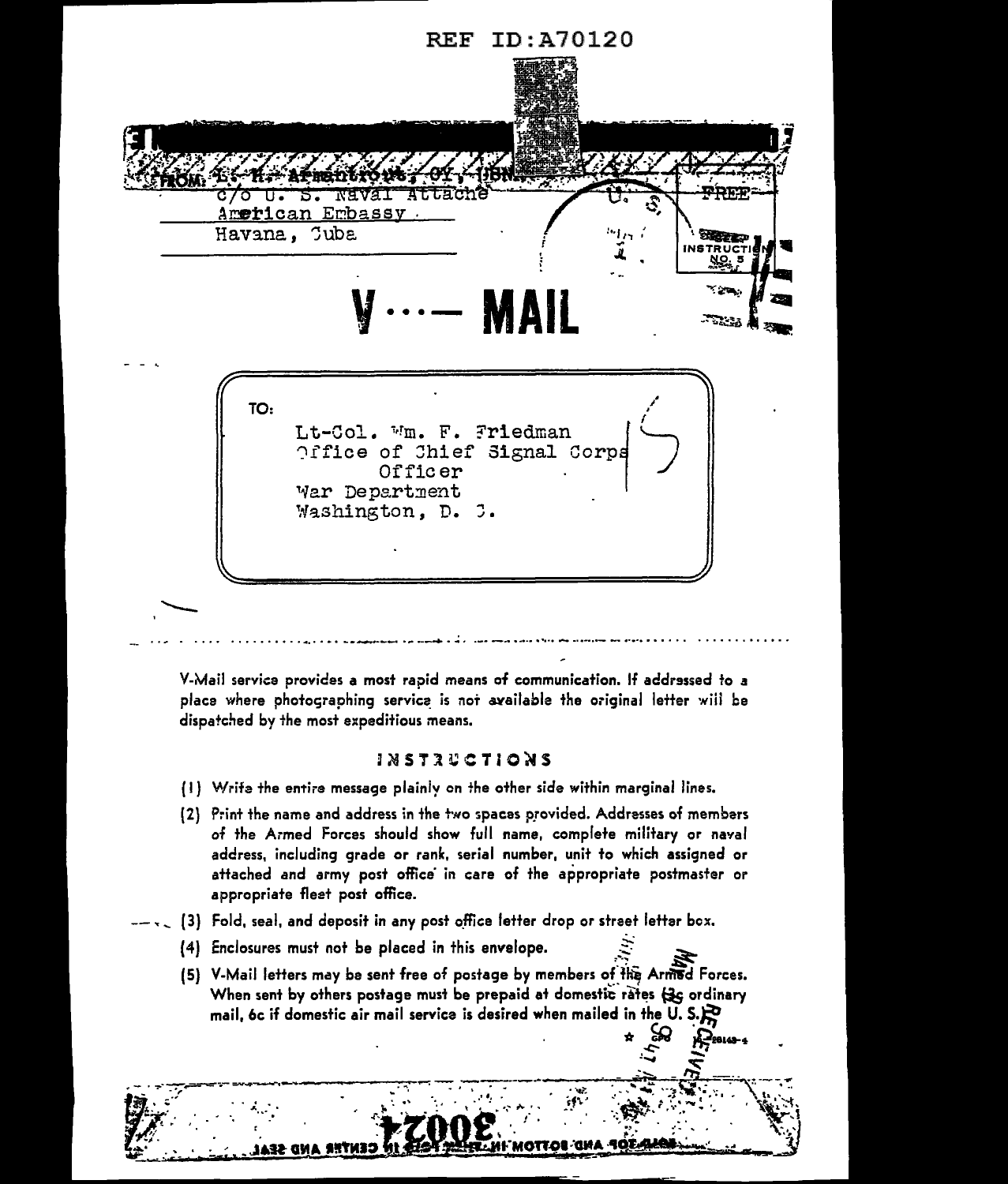

V-Mail service provides a most rapid means of communication. If addressed to a place where photographing service is not available the original letter will be dispatched by the most expeditious means.

## *INSTRUCTIONS*

- (1) Write the entire message plainly on the other side within marginal lines.
- [2] Print the name and address in the two spaces provided. Addresses of members of the Armed Forces should show full name, complete military or naval address, including grade or rank, serial number, unit to which assigned or attached and army post office in care of the appropriate postmaster or appropriate fleet post office.
- $-\sqrt{2}$  (3) Fold, seal, and deposit in any post office letter drop or street letter box.
	- (4) Enclosures must not be placed in this envelope.
	- (5) V-Mail letters may be sent free of postage by members of the Armed Forces. When sent by others postage must be prepaid at domestic rates (3G ordinary mail, 6c if domestic air mail service is desired when mailed in the U.S. $\mathbb{R}$

**AND BOTTOM** 

A-Pestas-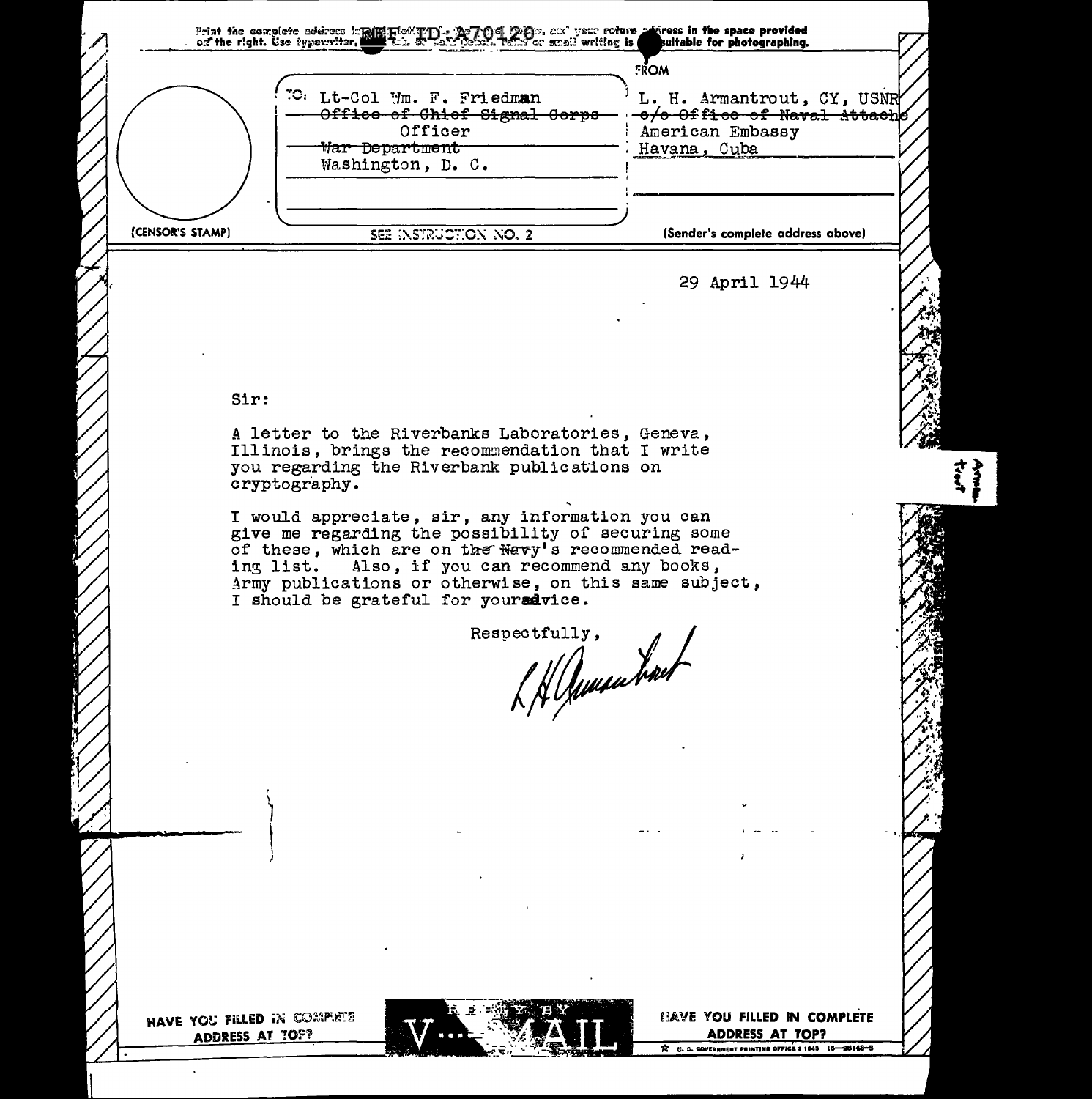Print the complete address implifing to imply the poly poly, and your roturn polyness in the space provided<br>on the right. Use typewriter, with the state policies, rank or small writing is suitable for photographing. suitable for photographing. !=ROM <sup>70</sup>: Lt-Col Wm. F. Friedm**an** <sup>1</sup> L. H. Armantrout, CY, USNR<br><del>- Office of Chiof Signal Corps 1-e/o-Office of Naval Attach</del>  $-{\rm e}/{\rm e}$ - $0$ f fi- ${\rm e}{\rm e}$ -of-Naval-Attach ${\rm e}$ Officer : American Embassy<br>
artment : Havana, Cuba  $~\text{War}$  Department Washington, D. C. (CENSOR'S STAMP) SEE INSTRUCTION NO. 2 (Sender's complete address above) 29 April 1944 Sir: A letter to the Riverbanks Laboratories, Geneva, Illinois, brings the recommendation that I write you regarding the Riverbank publications on cryptogr'aphy. I would appreciate, sir, any information you can give me regarding the possibility of securing some of these, which are on the Navy's recommended reading list. Also, if you can recommend any books, Army publications or otherwise, on this same subject, I should be grateful for youred vice. spectfully, Respectfully, ' \  $\big)$ t i ) HAVE YOU FILLED IN COMPIRTS **IJAVE YOU FILLED IN COMPLETE** ADDRESS AT TOP? ADDRESS AT TOP?  $\hat{\mathcal{K}}$  C. D. GOVFRAMENT PRINTING OFFICE I 1943 16 - 98148-5